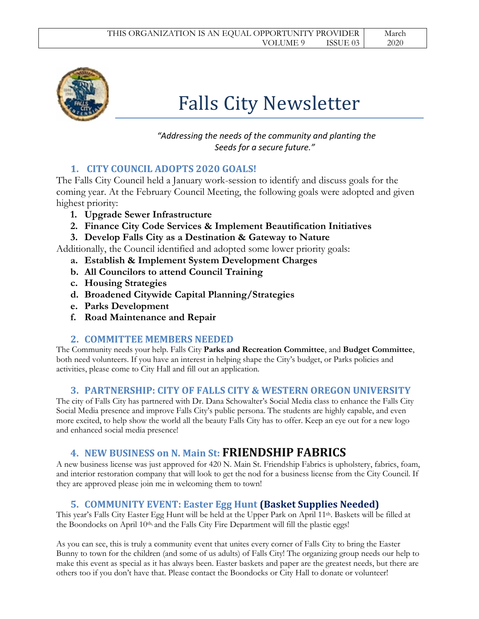

# Falls City Newsletter

 *"Addressing the needs of the community and planting the Seeds for a secure future."*

# **1. CITY COUNCIL ADOPTS 2020 GOALS!**

The Falls City Council held a January work-session to identify and discuss goals for the coming year. At the February Council Meeting, the following goals were adopted and given highest priority:

- **1. Upgrade Sewer Infrastructure**
- **2. Finance City Code Services & Implement Beautification Initiatives**
- **3. Develop Falls City as a Destination & Gateway to Nature**

Additionally, the Council identified and adopted some lower priority goals:

- **a. Establish & Implement System Development Charges**
- **b. All Councilors to attend Council Training**
- **c. Housing Strategies**
- **d. Broadened Citywide Capital Planning/Strategies**
- **e. Parks Development**
- **f. Road Maintenance and Repair**

## **2. COMMITTEE MEMBERS NEEDED**

The Community needs your help. Falls City **Parks and Recreation Committee**, and **Budget Committee**, both need volunteers. If you have an interest in helping shape the City's budget, or Parks policies and activities, please come to City Hall and fill out an application.

# **3. PARTNERSHIP: CITY OF FALLS CITY & WESTERN OREGON UNIVERSITY**

The city of Falls City has partnered with Dr. Dana Schowalter's Social Media class to enhance the Falls City Social Media presence and improve Falls City's public persona. The students are highly capable, and even more excited, to help show the world all the beauty Falls City has to offer. Keep an eye out for a new logo and enhanced social media presence!

# **4. NEW BUSINESS on N. Main St: FRIENDSHIP FABRICS**

A new business license was just approved for 420 N. Main St. Friendship Fabrics is upholstery, fabrics, foam, and interior restoration company that will look to get the nod for a business license from the City Council. If they are approved please join me in welcoming them to town!

# **5. COMMUNITY EVENT: Easter Egg Hunt (Basket Supplies Needed)**

This year's Falls City Easter Egg Hunt will be held at the Upper Park on April 11th. Baskets will be filled at the Boondocks on April 10<sup>th,</sup> and the Falls City Fire Department will fill the plastic eggs!

As you can see, this is truly a community event that unites every corner of Falls City to bring the Easter Bunny to town for the children (and some of us adults) of Falls City! The organizing group needs our help to make this event as special as it has always been. Easter baskets and paper are the greatest needs, but there are others too if you don't have that. Please contact the Boondocks or City Hall to donate or volunteer!